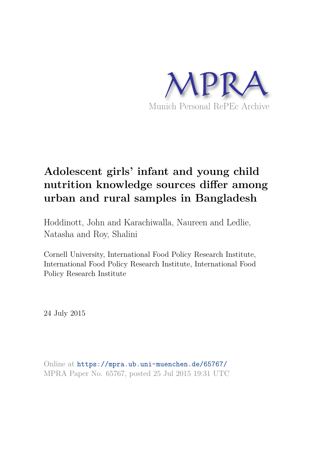

# **Adolescent girls' infant and young child nutrition knowledge sources differ among urban and rural samples in Bangladesh**

Hoddinott, John and Karachiwalla, Naureen and Ledlie, Natasha and Roy, Shalini

Cornell University, International Food Policy Research Institute, International Food Policy Research Institute, International Food Policy Research Institute

24 July 2015

Online at https://mpra.ub.uni-muenchen.de/65767/ MPRA Paper No. 65767, posted 25 Jul 2015 19:31 UTC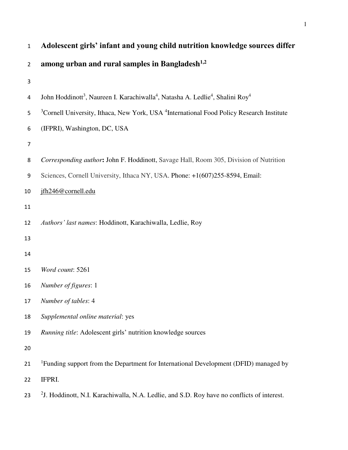| $\mathbf{1}$   | Adolescent girls' infant and young child nutrition knowledge sources differ                                                    |
|----------------|--------------------------------------------------------------------------------------------------------------------------------|
| $\overline{2}$ | among urban and rural samples in Bangladesh <sup>1,2</sup>                                                                     |
| 3              |                                                                                                                                |
| 4              | John Hoddinott <sup>3</sup> , Naureen I. Karachiwalla <sup>4</sup> , Natasha A. Ledlie <sup>4</sup> , Shalini Roy <sup>4</sup> |
| 5              | <sup>3</sup> Cornell University, Ithaca, New York, USA <sup>4</sup> International Food Policy Research Institute               |
| 6              | (IFPRI), Washington, DC, USA                                                                                                   |
| $\overline{7}$ |                                                                                                                                |
| 8              | Corresponding author: John F. Hoddinott, Savage Hall, Room 305, Division of Nutrition                                          |
| 9              | Sciences, Cornell University, Ithaca NY, USA. Phone: +1(607)255-8594, Email:                                                   |
| 10             | jfh246@cornell.edu                                                                                                             |
| 11             |                                                                                                                                |
| 12             | Authors' last names: Hoddinott, Karachiwalla, Ledlie, Roy                                                                      |
| 13             |                                                                                                                                |
| 14             |                                                                                                                                |
| 15             | Word count: 5261                                                                                                               |
| 16             | Number of figures: 1                                                                                                           |
| 17             | Number of tables: 4                                                                                                            |
| 18             | Supplemental online material: yes                                                                                              |
| 19             | Running title: Adolescent girls' nutrition knowledge sources                                                                   |
| 20             |                                                                                                                                |
| 21             | <sup>1</sup> Funding support from the Department for International Development (DFID) managed by                               |
| 22             | IFPRI.                                                                                                                         |
| 23             | <sup>2</sup> J. Hoddinott, N.I. Karachiwalla, N.A. Ledlie, and S.D. Roy have no conflicts of interest.                         |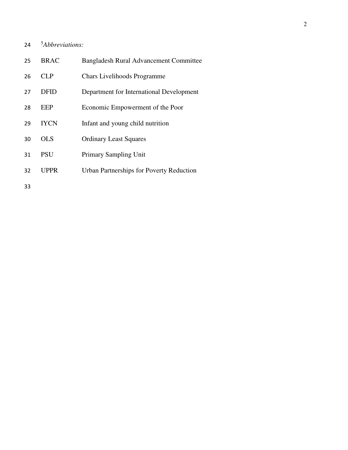## 5 *Abbreviations:*

| 25 | <b>BRAC</b> | <b>Bangladesh Rural Advancement Committee</b>   |
|----|-------------|-------------------------------------------------|
| 26 | CLP         | <b>Chars Livelihoods Programme</b>              |
| 27 | <b>DFID</b> | Department for International Development        |
| 28 | <b>EEP</b>  | Economic Empowerment of the Poor                |
| 29 | <b>IYCN</b> | Infant and young child nutrition                |
| 30 | OL S        | <b>Ordinary Least Squares</b>                   |
| 31 | <b>PSU</b>  | <b>Primary Sampling Unit</b>                    |
| 32 | <b>UPPR</b> | <b>Urban Partnerships for Poverty Reduction</b> |
| 33 |             |                                                 |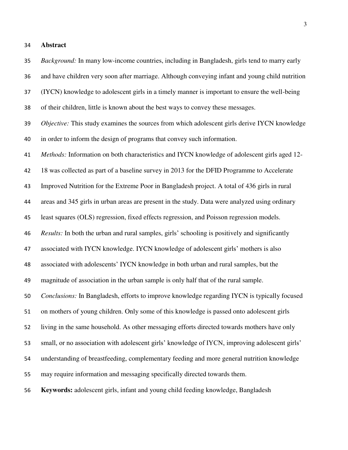#### **Abstract**

 *Background:* In many low-income countries, including in Bangladesh, girls tend to marry early and have children very soon after marriage. Although conveying infant and young child nutrition (IYCN) knowledge to adolescent girls in a timely manner is important to ensure the well-being of their children, little is known about the best ways to convey these messages. *Objective:* This study examines the sources from which adolescent girls derive IYCN knowledge in order to inform the design of programs that convey such information. *Methods:* Information on both characteristics and IYCN knowledge of adolescent girls aged 12- 18 was collected as part of a baseline survey in 2013 for the DFID Programme to Accelerate Improved Nutrition for the Extreme Poor in Bangladesh project. A total of 436 girls in rural areas and 345 girls in urban areas are present in the study. Data were analyzed using ordinary least squares (OLS) regression, fixed effects regression, and Poisson regression models. *Results:* In both the urban and rural samples, girls' schooling is positively and significantly associated with IYCN knowledge. IYCN knowledge of adolescent girls' mothers is also associated with adolescents' IYCN knowledge in both urban and rural samples, but the magnitude of association in the urban sample is only half that of the rural sample. *Conclusions:* In Bangladesh, efforts to improve knowledge regarding IYCN is typically focused on mothers of young children. Only some of this knowledge is passed onto adolescent girls living in the same household. As other messaging efforts directed towards mothers have only small, or no association with adolescent girls' knowledge of IYCN, improving adolescent girls' understanding of breastfeeding, complementary feeding and more general nutrition knowledge may require information and messaging specifically directed towards them.

**Keywords:** adolescent girls, infant and young child feeding knowledge, Bangladesh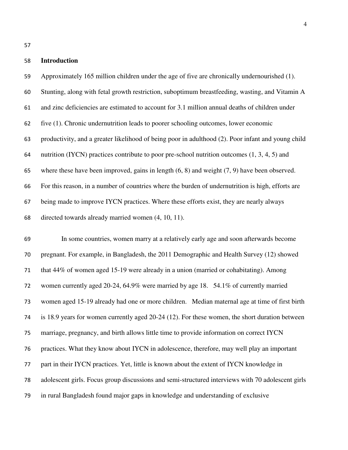#### **Introduction**

 Approximately 165 million children under the age of five are chronically undernourished (1). Stunting, along with fetal growth restriction, suboptimum breastfeeding, wasting, and Vitamin A and zinc deficiencies are estimated to account for 3.1 million annual deaths of children under five (1). Chronic undernutrition leads to poorer schooling outcomes, lower economic productivity, and a greater likelihood of being poor in adulthood (2). Poor infant and young child 64 nutrition (IYCN) practices contribute to poor pre-school nutrition outcomes  $(1, 3, 4, 5)$  and where these have been improved, gains in length (6, 8) and weight (7, 9) have been observed. For this reason, in a number of countries where the burden of undernutrition is high, efforts are being made to improve IYCN practices. Where these efforts exist, they are nearly always directed towards already married women (4, 10, 11).

 In some countries, women marry at a relatively early age and soon afterwards become pregnant. For example, in Bangladesh, the 2011 Demographic and Health Survey (12) showed that 44% of women aged 15-19 were already in a union (married or cohabitating). Among women currently aged 20-24, 64.9% were married by age 18. 54.1% of currently married women aged 15-19 already had one or more children. Median maternal age at time of first birth is 18.9 years for women currently aged 20-24 (12). For these women, the short duration between marriage, pregnancy, and birth allows little time to provide information on correct IYCN practices. What they know about IYCN in adolescence, therefore, may well play an important part in their IYCN practices. Yet, little is known about the extent of IYCN knowledge in adolescent girls. Focus group discussions and semi-structured interviews with 70 adolescent girls in rural Bangladesh found major gaps in knowledge and understanding of exclusive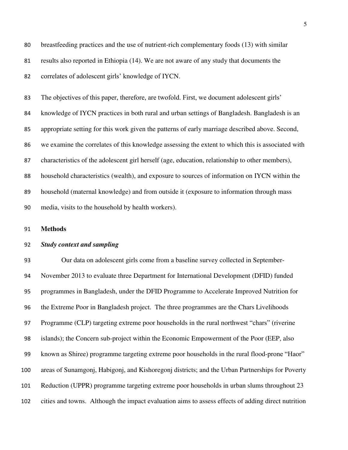breastfeeding practices and the use of nutrient-rich complementary foods (13) with similar results also reported in Ethiopia (14). We are not aware of any study that documents the correlates of adolescent girls' knowledge of IYCN.

 The objectives of this paper, therefore, are twofold. First, we document adolescent girls' knowledge of IYCN practices in both rural and urban settings of Bangladesh. Bangladesh is an appropriate setting for this work given the patterns of early marriage described above. Second, we examine the correlates of this knowledge assessing the extent to which this is associated with characteristics of the adolescent girl herself (age, education, relationship to other members), household characteristics (wealth), and exposure to sources of information on IYCN within the household (maternal knowledge) and from outside it (exposure to information through mass media, visits to the household by health workers).

#### **Methods**

#### *Study context and sampling*

 Our data on adolescent girls come from a baseline survey collected in September- November 2013 to evaluate three Department for International Development (DFID) funded programmes in Bangladesh, under the DFID Programme to Accelerate Improved Nutrition for the Extreme Poor in Bangladesh project. The three programmes are the Chars Livelihoods Programme (CLP) targeting extreme poor households in the rural northwest "chars" (riverine islands); the Concern sub-project within the Economic Empowerment of the Poor (EEP, also known as Shiree) programme targeting extreme poor households in the rural flood-prone "Haor" areas of Sunamgonj, Habigonj, and Kishoregonj districts; and the Urban Partnerships for Poverty Reduction (UPPR) programme targeting extreme poor households in urban slums throughout 23 cities and towns. Although the impact evaluation aims to assess effects of adding direct nutrition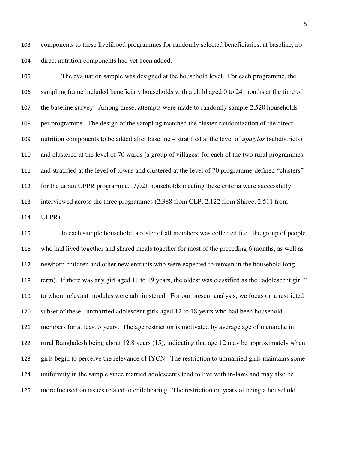components to these livelihood programmes for randomly selected beneficiaries, at baseline, no direct nutrition components had yet been added.

 The evaluation sample was designed at the household level. For each programme, the sampling frame included beneficiary households with a child aged 0 to 24 months at the time of the baseline survey. Among these, attempts were made to randomly sample 2,520 households per programme. The design of the sampling matched the cluster-randomization of the direct nutrition components to be added after baseline – stratified at the level of *upazilas* (subdistricts) and clustered at the level of 70 wards (a group of villages) for each of the two rural programmes, and stratified at the level of towns and clustered at the level of 70 programme-defined "clusters" for the urban UPPR programme. 7,021 households meeting these criteria were successfully interviewed across the three programmes (2,388 from CLP, 2,122 from Shiree, 2,511 from UPPR).

 In each sample household, a roster of all members was collected (i.e., the group of people who had lived together and shared meals together for most of the preceding 6 months, as well as newborn children and other new entrants who were expected to remain in the household long term). If there was any girl aged 11 to 19 years, the oldest was classified as the "adolescent girl," to whom relevant modules were administered. For our present analysis, we focus on a restricted subset of these: unmarried adolescent girls aged 12 to 18 years who had been household members for at least 5 years. The age restriction is motivated by average age of menarche in rural Bangladesh being about 12.8 years (15), indicating that age 12 may be approximately when girls begin to perceive the relevance of IYCN. The restriction to unmarried girls maintains some uniformity in the sample since married adolescents tend to live with in-laws and may also be more focused on issues related to childbearing. The restriction on years of being a household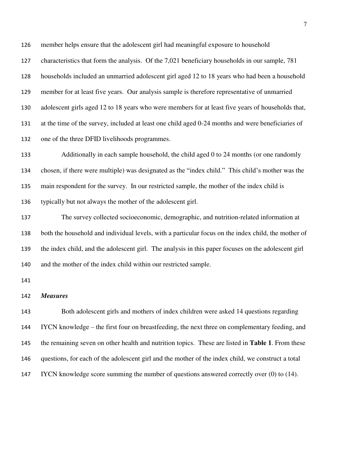member helps ensure that the adolescent girl had meaningful exposure to household characteristics that form the analysis. Of the 7,021 beneficiary households in our sample, 781 households included an unmarried adolescent girl aged 12 to 18 years who had been a household member for at least five years. Our analysis sample is therefore representative of unmarried adolescent girls aged 12 to 18 years who were members for at least five years of households that, at the time of the survey, included at least one child aged 0-24 months and were beneficiaries of one of the three DFID livelihoods programmes.

 Additionally in each sample household, the child aged 0 to 24 months (or one randomly chosen, if there were multiple) was designated as the "index child." This child's mother was the main respondent for the survey. In our restricted sample, the mother of the index child is typically but not always the mother of the adolescent girl.

 The survey collected socioeconomic, demographic, and nutrition-related information at both the household and individual levels, with a particular focus on the index child, the mother of the index child, and the adolescent girl. The analysis in this paper focuses on the adolescent girl and the mother of the index child within our restricted sample.

#### *Measures*

 Both adolescent girls and mothers of index children were asked 14 questions regarding IYCN knowledge – the first four on breastfeeding, the next three on complementary feeding, and the remaining seven on other health and nutrition topics. These are listed in **Table 1**. From these questions, for each of the adolescent girl and the mother of the index child, we construct a total IYCN knowledge score summing the number of questions answered correctly over (0) to (14).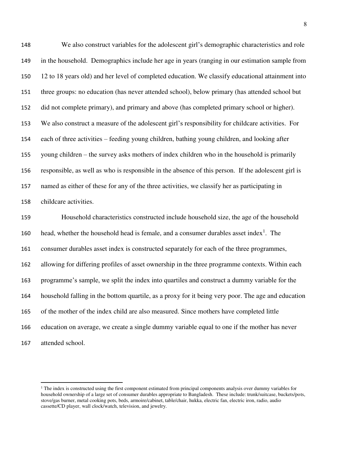We also construct variables for the adolescent girl's demographic characteristics and role in the household. Demographics include her age in years (ranging in our estimation sample from 12 to 18 years old) and her level of completed education. We classify educational attainment into three groups: no education (has never attended school), below primary (has attended school but did not complete primary), and primary and above (has completed primary school or higher). We also construct a measure of the adolescent girl's responsibility for childcare activities. For each of three activities – feeding young children, bathing young children, and looking after young children – the survey asks mothers of index children who in the household is primarily responsible, as well as who is responsible in the absence of this person. If the adolescent girl is named as either of these for any of the three activities, we classify her as participating in childcare activities.

 Household characteristics constructed include household size, the age of the household 160 head, whether the household head is female, and a consumer durables asset index<sup>1</sup>. The consumer durables asset index is constructed separately for each of the three programmes, allowing for differing profiles of asset ownership in the three programme contexts. Within each programme's sample, we split the index into quartiles and construct a dummy variable for the household falling in the bottom quartile, as a proxy for it being very poor. The age and education of the mother of the index child are also measured. Since mothers have completed little education on average, we create a single dummy variable equal to one if the mother has never attended school.

l

<sup>&</sup>lt;sup>1</sup> The index is constructed using the first component estimated from principal components analysis over dummy variables for household ownership of a large set of consumer durables appropriate to Bangladesh. These include: trunk/suitcase, buckets/pots, stove/gas burner, metal cooking pots, beds, armoire/cabinet, table/chair, hukka, electric fan, electric iron, radio, audio cassette/CD player, wall clock/watch, television, and jewelry.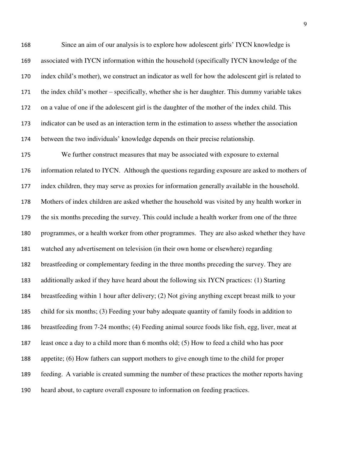Since an aim of our analysis is to explore how adolescent girls' IYCN knowledge is associated with IYCN information within the household (specifically IYCN knowledge of the index child's mother), we construct an indicator as well for how the adolescent girl is related to the index child's mother – specifically, whether she is her daughter. This dummy variable takes on a value of one if the adolescent girl is the daughter of the mother of the index child. This indicator can be used as an interaction term in the estimation to assess whether the association between the two individuals' knowledge depends on their precise relationship.

 We further construct measures that may be associated with exposure to external information related to IYCN. Although the questions regarding exposure are asked to mothers of index children, they may serve as proxies for information generally available in the household. Mothers of index children are asked whether the household was visited by any health worker in the six months preceding the survey. This could include a health worker from one of the three programmes, or a health worker from other programmes. They are also asked whether they have watched any advertisement on television (in their own home or elsewhere) regarding breastfeeding or complementary feeding in the three months preceding the survey. They are additionally asked if they have heard about the following six IYCN practices: (1) Starting breastfeeding within 1 hour after delivery; (2) Not giving anything except breast milk to your child for six months; (3) Feeding your baby adequate quantity of family foods in addition to breastfeeding from 7-24 months; (4) Feeding animal source foods like fish, egg, liver, meat at least once a day to a child more than 6 months old; (5) How to feed a child who has poor appetite; (6) How fathers can support mothers to give enough time to the child for proper feeding. A variable is created summing the number of these practices the mother reports having heard about, to capture overall exposure to information on feeding practices.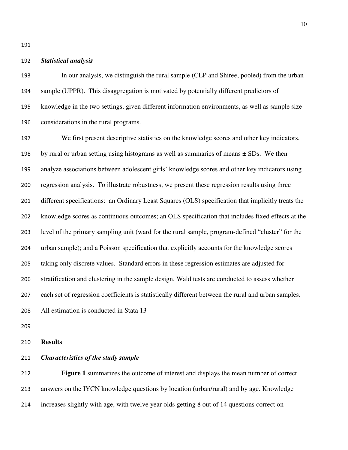#### *Statistical analysis*

 In our analysis, we distinguish the rural sample (CLP and Shiree, pooled) from the urban sample (UPPR). This disaggregation is motivated by potentially different predictors of knowledge in the two settings, given different information environments, as well as sample size considerations in the rural programs.

 We first present descriptive statistics on the knowledge scores and other key indicators, 198 by rural or urban setting using histograms as well as summaries of means  $\pm$  SDs. We then analyze associations between adolescent girls' knowledge scores and other key indicators using regression analysis. To illustrate robustness, we present these regression results using three different specifications: an Ordinary Least Squares (OLS) specification that implicitly treats the knowledge scores as continuous outcomes; an OLS specification that includes fixed effects at the level of the primary sampling unit (ward for the rural sample, program-defined "cluster" for the urban sample); and a Poisson specification that explicitly accounts for the knowledge scores taking only discrete values. Standard errors in these regression estimates are adjusted for stratification and clustering in the sample design. Wald tests are conducted to assess whether each set of regression coefficients is statistically different between the rural and urban samples. All estimation is conducted in Stata 13

**Results** 

#### *Characteristics of the study sample*

 **Figure 1** summarizes the outcome of interest and displays the mean number of correct answers on the IYCN knowledge questions by location (urban/rural) and by age. Knowledge increases slightly with age, with twelve year olds getting 8 out of 14 questions correct on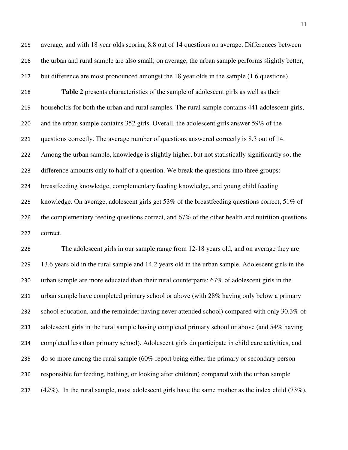average, and with 18 year olds scoring 8.8 out of 14 questions on average. Differences between the urban and rural sample are also small; on average, the urban sample performs slightly better, but difference are most pronounced amongst the 18 year olds in the sample (1.6 questions).

 **Table 2** presents characteristics of the sample of adolescent girls as well as their households for both the urban and rural samples. The rural sample contains 441 adolescent girls, and the urban sample contains 352 girls. Overall, the adolescent girls answer 59% of the questions correctly. The average number of questions answered correctly is 8.3 out of 14. Among the urban sample, knowledge is slightly higher, but not statistically significantly so; the difference amounts only to half of a question. We break the questions into three groups: breastfeeding knowledge, complementary feeding knowledge, and young child feeding knowledge. On average, adolescent girls get 53% of the breastfeeding questions correct, 51% of 226 the complementary feeding questions correct, and 67% of the other health and nutrition questions correct.

 The adolescent girls in our sample range from 12-18 years old, and on average they are 13.6 years old in the rural sample and 14.2 years old in the urban sample. Adolescent girls in the urban sample are more educated than their rural counterparts; 67% of adolescent girls in the urban sample have completed primary school or above (with 28% having only below a primary 232 school education, and the remainder having never attended school) compared with only 30.3% of 233 adolescent girls in the rural sample having completed primary school or above (and 54% having completed less than primary school). Adolescent girls do participate in child care activities, and 235 do so more among the rural sample (60% report being either the primary or secondary person responsible for feeding, bathing, or looking after children) compared with the urban sample  $(42\%)$ . In the rural sample, most adolescent girls have the same mother as the index child (73%),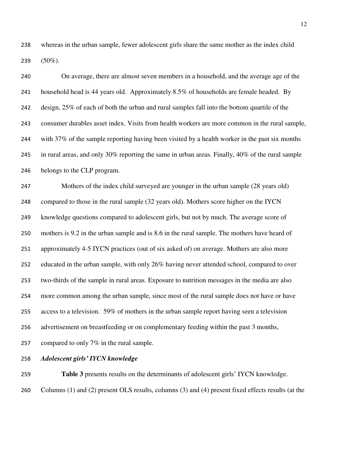whereas in the urban sample, fewer adolescent girls share the same mother as the index child 239  $(50\%)$ .

 On average, there are almost seven members in a household, and the average age of the household head is 44 years old. Approximately 8.5% of households are female headed. By design, 25% of each of both the urban and rural samples fall into the bottom quartile of the consumer durables asset index. Visits from health workers are more common in the rural sample, 244 with 37% of the sample reporting having been visited by a health worker in the past six months in rural areas, and only 30% reporting the same in urban areas. Finally, 40% of the rural sample belongs to the CLP program.

 Mothers of the index child surveyed are younger in the urban sample (28 years old) compared to those in the rural sample (32 years old). Mothers score higher on the IYCN knowledge questions compared to adolescent girls, but not by much. The average score of mothers is 9.2 in the urban sample and is 8.6 in the rural sample. The mothers have heard of approximately 4-5 IYCN practices (out of six asked of) on average. Mothers are also more educated in the urban sample, with only 26% having never attended school, compared to over two-thirds of the sample in rural areas. Exposure to nutrition messages in the media are also more common among the urban sample, since most of the rural sample does not have or have 255 access to a television. 59% of mothers in the urban sample report having seen a television 256 advertisement on breastfeeding or on complementary feeding within the past 3 months, compared to only 7% in the rural sample.

*Adolescent girls' IYCN knowledge* 

 **Table 3** presents results on the determinants of adolescent girls' IYCN knowledge. Columns (1) and (2) present OLS results, columns (3) and (4) present fixed effects results (at the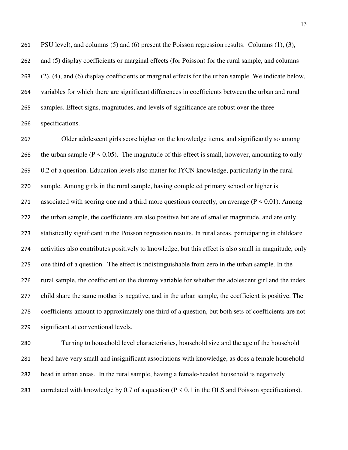PSU level), and columns (5) and (6) present the Poisson regression results. Columns (1), (3), and (5) display coefficients or marginal effects (for Poisson) for the rural sample, and columns (2), (4), and (6) display coefficients or marginal effects for the urban sample. We indicate below, variables for which there are significant differences in coefficients between the urban and rural samples. Effect signs, magnitudes, and levels of significance are robust over the three specifications.

 Older adolescent girls score higher on the knowledge items, and significantly so among 268 the urban sample ( $P \le 0.05$ ). The magnitude of this effect is small, however, amounting to only 0.2 of a question. Education levels also matter for IYCN knowledge, particularly in the rural sample. Among girls in the rural sample, having completed primary school or higher is 271 associated with scoring one and a third more questions correctly, on average ( $P \le 0.01$ ). Among the urban sample, the coefficients are also positive but are of smaller magnitude, and are only statistically significant in the Poisson regression results. In rural areas, participating in childcare activities also contributes positively to knowledge, but this effect is also small in magnitude, only one third of a question. The effect is indistinguishable from zero in the urban sample. In the rural sample, the coefficient on the dummy variable for whether the adolescent girl and the index child share the same mother is negative, and in the urban sample, the coefficient is positive. The coefficients amount to approximately one third of a question, but both sets of coefficients are not significant at conventional levels.

 Turning to household level characteristics, household size and the age of the household head have very small and insignificant associations with knowledge, as does a female household head in urban areas. In the rural sample, having a female-headed household is negatively 283 correlated with knowledge by 0.7 of a question ( $P \le 0.1$  in the OLS and Poisson specifications).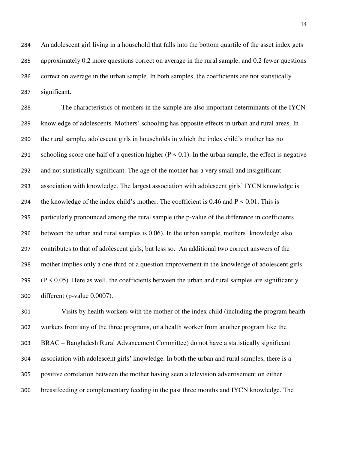An adolescent girl living in a household that falls into the bottom quartile of the asset index gets approximately 0.2 more questions correct on average in the rural sample, and 0.2 fewer questions correct on average in the urban sample. In both samples, the coefficients are not statistically significant.

 The characteristics of mothers in the sample are also important determinants of the IYCN knowledge of adolescents. Mothers' schooling has opposite effects in urban and rural areas. In the rural sample, adolescent girls in households in which the index child's mother has no 291 schooling score one half of a question higher ( $P \le 0.1$ ). In the urban sample, the effect is negative and not statistically significant. The age of the mother has a very small and insignificant association with knowledge. The largest association with adolescent girls' IYCN knowledge is 294 the knowledge of the index child's mother. The coefficient is 0.46 and  $P \le 0.01$ . This is particularly pronounced among the rural sample (the p-value of the difference in coefficients between the urban and rural samples is 0.06). In the urban sample, mothers' knowledge also contributes to that of adolescent girls, but less so. An additional two correct answers of the mother implies only a one third of a question improvement in the knowledge of adolescent girls 299 ( $P \le 0.05$ ). Here as well, the coefficients between the urban and rural samples are significantly different (p-value 0.0007).

 Visits by health workers with the mother of the index child (including the program health workers from any of the three programs, or a health worker from another program like the BRAC – Bangladesh Rural Advancement Committee) do not have a statistically significant association with adolescent girls' knowledge. In both the urban and rural samples, there is a positive correlation between the mother having seen a television advertisement on either breastfeeding or complementary feeding in the past three months and IYCN knowledge. The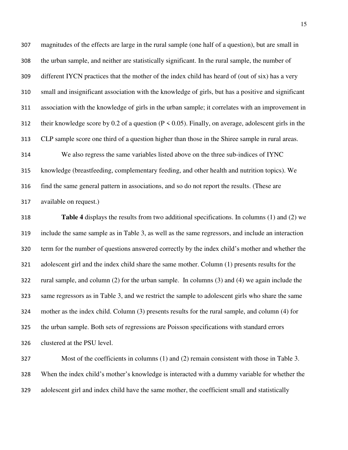magnitudes of the effects are large in the rural sample (one half of a question), but are small in the urban sample, and neither are statistically significant. In the rural sample, the number of different IYCN practices that the mother of the index child has heard of (out of six) has a very small and insignificant association with the knowledge of girls, but has a positive and significant association with the knowledge of girls in the urban sample; it correlates with an improvement in 312 their knowledge score by 0.2 of a question ( $P \le 0.05$ ). Finally, on average, adolescent girls in the CLP sample score one third of a question higher than those in the Shiree sample in rural areas.

 We also regress the same variables listed above on the three sub-indices of IYNC knowledge (breastfeeding, complementary feeding, and other health and nutrition topics). We find the same general pattern in associations, and so do not report the results. (These are available on request.)

 **Table 4** displays the results from two additional specifications. In columns (1) and (2) we include the same sample as in Table 3, as well as the same regressors, and include an interaction term for the number of questions answered correctly by the index child's mother and whether the adolescent girl and the index child share the same mother. Column (1) presents results for the rural sample, and column (2) for the urban sample. In columns (3) and (4) we again include the same regressors as in Table 3, and we restrict the sample to adolescent girls who share the same mother as the index child. Column (3) presents results for the rural sample, and column (4) for the urban sample. Both sets of regressions are Poisson specifications with standard errors clustered at the PSU level.

 Most of the coefficients in columns (1) and (2) remain consistent with those in Table 3. When the index child's mother's knowledge is interacted with a dummy variable for whether the adolescent girl and index child have the same mother, the coefficient small and statistically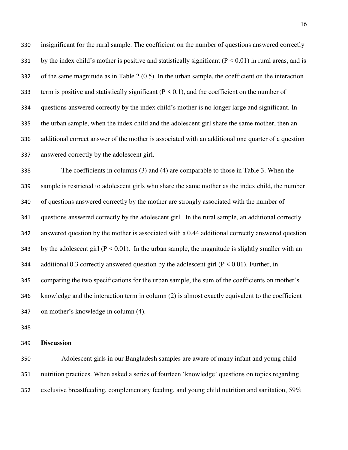insignificant for the rural sample. The coefficient on the number of questions answered correctly 331 by the index child's mother is positive and statistically significant ( $P < 0.01$ ) in rural areas, and is of the same magnitude as in Table 2 (0.5). In the urban sample, the coefficient on the interaction 333 term is positive and statistically significant ( $P < 0.1$ ), and the coefficient on the number of questions answered correctly by the index child's mother is no longer large and significant. In the urban sample, when the index child and the adolescent girl share the same mother, then an additional correct answer of the mother is associated with an additional one quarter of a question answered correctly by the adolescent girl.

 The coefficients in columns (3) and (4) are comparable to those in Table 3. When the sample is restricted to adolescent girls who share the same mother as the index child, the number of questions answered correctly by the mother are strongly associated with the number of questions answered correctly by the adolescent girl. In the rural sample, an additional correctly answered question by the mother is associated with a 0.44 additional correctly answered question 343 by the adolescent girl ( $P \le 0.01$ ). In the urban sample, the magnitude is slightly smaller with an 344 additional 0.3 correctly answered question by the adolescent girl ( $P \le 0.01$ ). Further, in comparing the two specifications for the urban sample, the sum of the coefficients on mother's knowledge and the interaction term in column (2) is almost exactly equivalent to the coefficient on mother's knowledge in column (4).

**Discussion** 

 Adolescent girls in our Bangladesh samples are aware of many infant and young child nutrition practices. When asked a series of fourteen 'knowledge' questions on topics regarding exclusive breastfeeding, complementary feeding, and young child nutrition and sanitation, 59%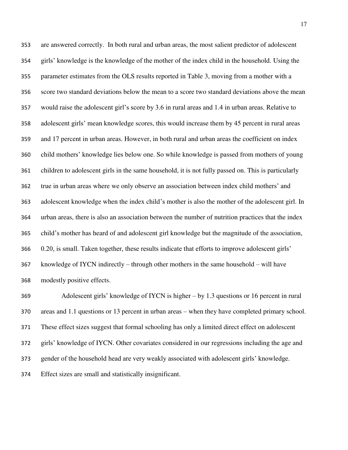are answered correctly. In both rural and urban areas, the most salient predictor of adolescent girls' knowledge is the knowledge of the mother of the index child in the household. Using the parameter estimates from the OLS results reported in Table 3, moving from a mother with a score two standard deviations below the mean to a score two standard deviations above the mean would raise the adolescent girl's score by 3.6 in rural areas and 1.4 in urban areas. Relative to adolescent girls' mean knowledge scores, this would increase them by 45 percent in rural areas and 17 percent in urban areas. However, in both rural and urban areas the coefficient on index child mothers' knowledge lies below one. So while knowledge is passed from mothers of young children to adolescent girls in the same household, it is not fully passed on. This is particularly true in urban areas where we only observe an association between index child mothers' and adolescent knowledge when the index child's mother is also the mother of the adolescent girl. In urban areas, there is also an association between the number of nutrition practices that the index child's mother has heard of and adolescent girl knowledge but the magnitude of the association, 0.20, is small. Taken together, these results indicate that efforts to improve adolescent girls' knowledge of IYCN indirectly – through other mothers in the same household – will have modestly positive effects.

 Adolescent girls' knowledge of IYCN is higher – by 1.3 questions or 16 percent in rural areas and 1.1 questions or 13 percent in urban areas – when they have completed primary school. These effect sizes suggest that formal schooling has only a limited direct effect on adolescent girls' knowledge of IYCN. Other covariates considered in our regressions including the age and gender of the household head are very weakly associated with adolescent girls' knowledge. Effect sizes are small and statistically insignificant.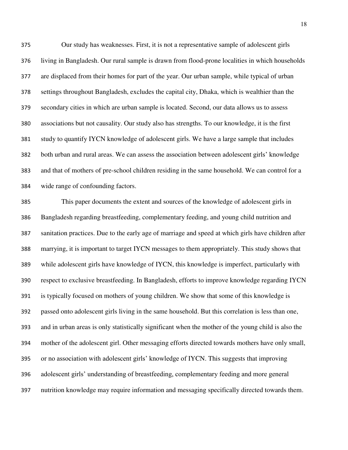Our study has weaknesses. First, it is not a representative sample of adolescent girls living in Bangladesh. Our rural sample is drawn from flood-prone localities in which households are displaced from their homes for part of the year. Our urban sample, while typical of urban settings throughout Bangladesh, excludes the capital city, Dhaka, which is wealthier than the secondary cities in which are urban sample is located. Second, our data allows us to assess associations but not causality. Our study also has strengths. To our knowledge, it is the first study to quantify IYCN knowledge of adolescent girls. We have a large sample that includes both urban and rural areas. We can assess the association between adolescent girls' knowledge and that of mothers of pre-school children residing in the same household. We can control for a wide range of confounding factors.

 This paper documents the extent and sources of the knowledge of adolescent girls in Bangladesh regarding breastfeeding, complementary feeding, and young child nutrition and sanitation practices. Due to the early age of marriage and speed at which girls have children after marrying, it is important to target IYCN messages to them appropriately. This study shows that while adolescent girls have knowledge of IYCN, this knowledge is imperfect, particularly with respect to exclusive breastfeeding. In Bangladesh, efforts to improve knowledge regarding IYCN is typically focused on mothers of young children. We show that some of this knowledge is passed onto adolescent girls living in the same household. But this correlation is less than one, and in urban areas is only statistically significant when the mother of the young child is also the mother of the adolescent girl. Other messaging efforts directed towards mothers have only small, or no association with adolescent girls' knowledge of IYCN. This suggests that improving adolescent girls' understanding of breastfeeding, complementary feeding and more general nutrition knowledge may require information and messaging specifically directed towards them.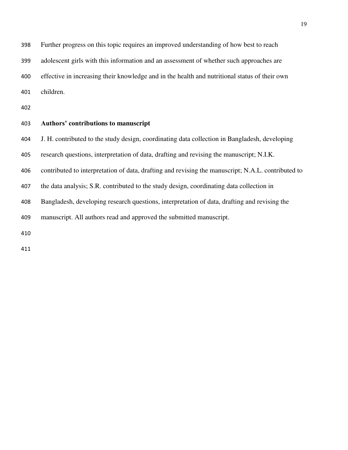Further progress on this topic requires an improved understanding of how best to reach

adolescent girls with this information and an assessment of whether such approaches are

effective in increasing their knowledge and in the health and nutritional status of their own

children.

## **Authors' contributions to manuscript**

J. H. contributed to the study design, coordinating data collection in Bangladesh, developing

research questions, interpretation of data, drafting and revising the manuscript; N.I.K.

contributed to interpretation of data, drafting and revising the manuscript; N.A.L. contributed to

the data analysis; S.R. contributed to the study design, coordinating data collection in

Bangladesh, developing research questions, interpretation of data, drafting and revising the

manuscript. All authors read and approved the submitted manuscript.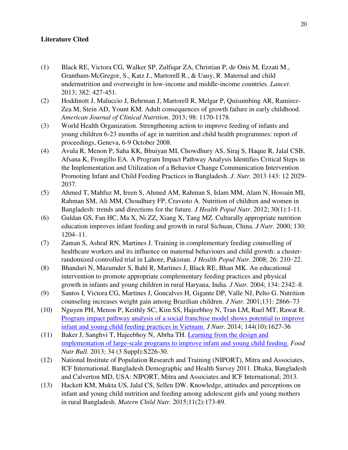## **Literature Cited**

- (1) Black RE, Victora CG, Walker SP, Zulfiqar ZA, Christian P, de Onis M, Ezzati M., Grantham-McGregor, S., Katz J., Martorell R., & Uauy, R. Maternal and child undernutrition and overweight in low-income and middle-income countries. *Lancet*. 2013; 382: 427-451.
- (2) Hoddinott J, Maluccio J, Behrman J, Martorell R, Melgar P, Quisumbing AR, Ramirez-Zea M, Stein AD, Yount KM. Adult consequences of growth failure in early childhood. *American Journal of Clinical Nutrition*. 2013; 98: 1170-1178.
- (3) World Health Organization. Strengthening action to improve feeding of infants and young children 6-23 months of age in nutrition and child health programmes: report of proceedings, Geneva, 6-9 October 2008.
- (4) Avula R, Menon P, Saha KK, Bhuiyan MI, Chowdhury AS, Siraj S, Haque R, Jalal CSB, Afsana K, Frongillo EA. A Program Impact Pathway Analysis Identifies Critical Steps in the Implementation and Utilization of a Behavior Change Communication Intervention Promoting Infant and Child Feeding Practices in Bangladesh. *J. Nutr.* 2013 143: 12 2029- 2037.
- (5) Ahmed T, Mahfuz M, Ireen S, Ahmed AM, Rahman S, Islam MM, Alam N, Hossain MI, Rahman SM, Ali MM, Choudhury FP, Cravioto A. Nutrition of children and women in Bangladesh: trends and directions for the future. *J Health Popul Nutr*. 2012; 30(1):1-11.
- (6) Guldan GS, Fan HC, Ma X, Ni ZZ, Xiang X, Tang MZ. Culturally appropriate nutrition education improves infant feeding and growth in rural Sichuan, China. *J Nutr.* 2000; 130: 1204–11.
- (7) Zaman S, Ashraf RN, Martines J. Training in complementary feeding counselling of healthcare workers and its influence on maternal behaviours and child growth: a clusterrandomized controlled trial in Lahore, Pakistan. *J Health Popul Nutr.* 2008; 26: 210–22.
- (8) Bhandari N, Mazumder S, Bahl R, Martines J, Black RE, Bhan MK. An educational intervention to promote appropriate complementary feeding practices and physical growth in infants and young children in rural Haryana, India*. J Nutr.* 2004; 134: 2342–8.
- (9) Santos I, Victora CG, Martines J, Goncalves H, Gigante DP, Valle NJ, Pelto G. Nutrition counseling increases weight gain among Brazilian children. *J Nutr.* 2001;131: 2866–73
- (10) Nguyen PH, Menon P, Keithly SC, Kim SS, Hajeebhoy N, Tran LM, Ruel MT, Rawat R. [Program impact pathway analysis of a social franchise model shows potential to improve](http://www.ncbi.nlm.nih.gov/pubmed/25143372)  [infant and young child feeding practices in Vietnam.](http://www.ncbi.nlm.nih.gov/pubmed/25143372) *J Nutr*. 2014; 144(10):1627-36
- (11) Baker J, Sanghvi T, Hajeebhoy N, Abrha TH. [Learning from the design and](http://www.ncbi.nlm.nih.gov/pubmed/24261079)  [implementation of large-scale programs to improve infant and young child feeding.](http://www.ncbi.nlm.nih.gov/pubmed/24261079) *Food Nutr Bull.* 2013; 34 (3 Suppl):S226-30.
- (12) National Institute of Population Research and Training (NIPORT), Mitra and Associates, ICF International. Bangladesh Demographic and Health Survey 2011. Dhaka, Bangladesh and Calverton MD, USA: NIPORT, Mitra and Associates and ICF International; 2013.
- (13) Hackett KM, Mukta US, Jalal CS, Sellen DW. Knowledge, attitudes and perceptions on infant and young child nutrition and feeding among adolescent girls and young mothers in rural Bangladesh. *Matern Child Nutr.* 2015;11(2):173-89.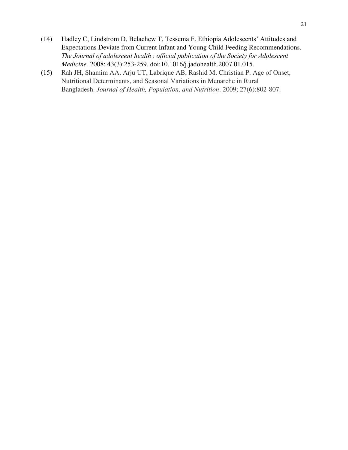- (14) Hadley C, Lindstrom D, Belachew T, Tessema F. Ethiopia Adolescents' Attitudes and Expectations Deviate from Current Infant and Young Child Feeding Recommendations. *The Journal of adolescent health : official publication of the Society for Adolescent Medicine.* 2008; 43(3):253-259. doi:10.1016/j.jadohealth.2007.01.015.
- (15) Rah JH, Shamim AA, Arju UT, Labrique AB, Rashid M, Christian P. Age of Onset, Nutritional Determinants, and Seasonal Variations in Menarche in Rural Bangladesh. *Journal of Health, Population, and Nutrition*. 2009; 27(6):802-807.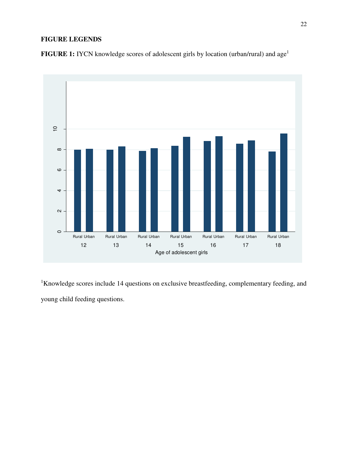## **FIGURE LEGENDS**

**FIGURE 1:** IYCN knowledge scores of adolescent girls by location (urban/rural) and age<sup>1</sup>



<sup>1</sup>Knowledge scores include 14 questions on exclusive breastfeeding, complementary feeding, and young child feeding questions.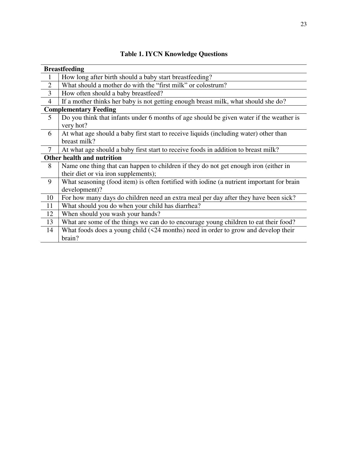|                | <b>Breastfeeding</b>                                                                                                         |  |  |  |
|----------------|------------------------------------------------------------------------------------------------------------------------------|--|--|--|
| $\mathbf{1}$   | How long after birth should a baby start breastfeeding?                                                                      |  |  |  |
| $\overline{2}$ | What should a mother do with the "first milk" or colostrum?                                                                  |  |  |  |
| 3              | How often should a baby breastfeed?                                                                                          |  |  |  |
| $\overline{4}$ | If a mother thinks her baby is not getting enough breast milk, what should she do?                                           |  |  |  |
|                | <b>Complementary Feeding</b>                                                                                                 |  |  |  |
| 5              | Do you think that infants under 6 months of age should be given water if the weather is<br>very hot?                         |  |  |  |
| 6              | At what age should a baby first start to receive liquids (including water) other than<br>breast milk?                        |  |  |  |
| $\overline{7}$ | At what age should a baby first start to receive foods in addition to breast milk?                                           |  |  |  |
|                | Other health and nutrition                                                                                                   |  |  |  |
| 8              | Name one thing that can happen to children if they do not get enough iron (either in<br>their diet or via iron supplements); |  |  |  |
| 9              | What seasoning (food item) is often fortified with iodine (a nutrient important for brain<br>development)?                   |  |  |  |
| 10             | For how many days do children need an extra meal per day after they have been sick?                                          |  |  |  |
| 11             | What should you do when your child has diarrhea?                                                                             |  |  |  |
| 12             | When should you wash your hands?                                                                                             |  |  |  |
| 13             | What are some of the things we can do to encourage young children to eat their food?                                         |  |  |  |
| 14             | What foods does a young child $(524 \text{ months})$ need in order to grow and develop their<br>brain?                       |  |  |  |

|  |  | <b>Table 1. IYCN Knowledge Questions</b> |  |
|--|--|------------------------------------------|--|
|--|--|------------------------------------------|--|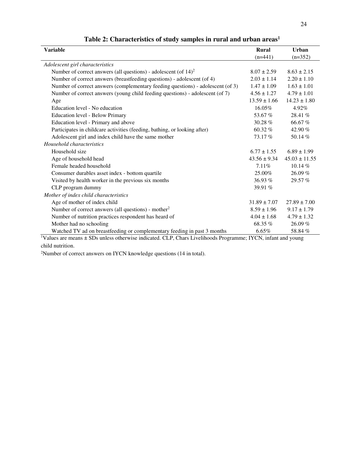| <b>Variable</b>                                                                                                                                                                                             | <b>Rural</b>                              | <b>Urban</b>      |
|-------------------------------------------------------------------------------------------------------------------------------------------------------------------------------------------------------------|-------------------------------------------|-------------------|
|                                                                                                                                                                                                             | $(n=441)$                                 | $(n=352)$         |
| Adolescent girl characteristics                                                                                                                                                                             |                                           |                   |
| Number of correct answers (all questions) - adolescent (of $14$ ) <sup>2</sup>                                                                                                                              | $8.07 \pm 2.59$                           | $8.63 \pm 2.15$   |
| Number of correct answers (breastfeeding questions) - adolescent (of 4)                                                                                                                                     | $2.03 \pm 1.14$                           | $2.20 \pm 1.10$   |
| Number of correct answers (complementary feeding questions) - adolescent (of 3)                                                                                                                             | $1.47 \pm 1.09$                           | $1.63 \pm 1.01$   |
| Number of correct answers (young child feeding questions) - adolescent (of 7)                                                                                                                               | $4.56 \pm 1.27$                           | $4.79 \pm 1.01$   |
| Age                                                                                                                                                                                                         | $13.59 \pm 1.66$                          | $14.23 \pm 1.80$  |
| Education level - No education                                                                                                                                                                              | 16.05%                                    | 4.92%             |
| <b>Education level - Below Primary</b>                                                                                                                                                                      | 53.67 %                                   | 28.41 %           |
| Education level - Primary and above                                                                                                                                                                         | $30.28 \%$                                | 66.67 %           |
| Participates in childcare activities (feeding, bathing, or looking after)                                                                                                                                   | 60.32%                                    | 42.90 %           |
| Adolescent girl and index child have the same mother                                                                                                                                                        | 73.17%                                    | 50.14%            |
| Household characteristics                                                                                                                                                                                   |                                           |                   |
| Household size                                                                                                                                                                                              | $6.77 \pm 1.55$                           | $6.89 \pm 1.99$   |
| Age of household head                                                                                                                                                                                       | $43.56 \pm 9.34$                          | $45.03 \pm 11.55$ |
| Female headed household                                                                                                                                                                                     | 7.11%                                     | 10.14 %           |
| Consumer durables asset index - bottom quartile                                                                                                                                                             | 25.00%                                    | 26.09 %           |
| Visited by health worker in the previous six months                                                                                                                                                         | 36.93 $%$                                 | 29.57%            |
| CLP program dummy                                                                                                                                                                                           | 39.91 %                                   |                   |
| Mother of index child characteristics                                                                                                                                                                       |                                           |                   |
| Age of mother of index child                                                                                                                                                                                | $31.89 \pm 7.07$                          | $27.89 \pm 7.00$  |
| Number of correct answers (all questions) - mother <sup>2</sup>                                                                                                                                             | $8.59 \pm 1.96$                           | $9.17 \pm 1.79$   |
| Number of nutrition practices respondent has heard of                                                                                                                                                       | $4.04 \pm 1.68$                           | $4.79 \pm 1.32$   |
| Mother had no schooling                                                                                                                                                                                     | 68.35%                                    | 26.09%            |
| Watched TV ad on breastfeeding or complementary feeding in past 3 months<br>$1 - r$<br>$\mathbf{r}$ $\mathbf{r}$ $\mathbf{r}$ $\mathbf{r}$ $\mathbf{r}$ $\mathbf{r}$ $\mathbf{r}$ $\mathbf{r}$ $\mathbf{r}$ | $6.65\%$<br>$\mathbf{r} \cdot \mathbf{r}$ | 58.84 %           |

# **Table 2: Characteristics of study samples in rural and urban areas<sup>1</sup>**

<sup>1</sup>Values are means ± SDs unless otherwise indicated. CLP, Chars Livelihoods Programme; IYCN, infant and young child nutrition.

<sup>2</sup>Number of correct answers on IYCN knowledge questions (14 in total).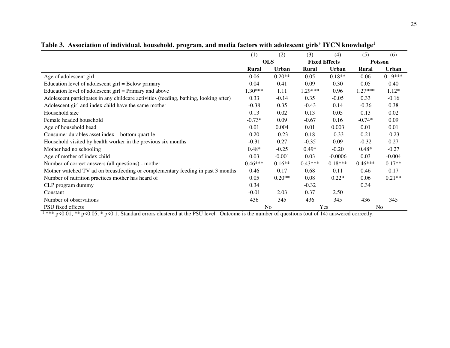|                                                                                                                                                          | (1)        | (2)            | (3)                  | (4)          | (5)       | (6)       |
|----------------------------------------------------------------------------------------------------------------------------------------------------------|------------|----------------|----------------------|--------------|-----------|-----------|
|                                                                                                                                                          | <b>OLS</b> |                | <b>Fixed Effects</b> |              | Poisson   |           |
|                                                                                                                                                          | Rural      | <b>Urban</b>   | <b>Rural</b>         | <b>Urban</b> | Rural     | Urban     |
| Age of adolescent girl                                                                                                                                   | 0.06       | $0.20**$       | 0.05                 | $0.18**$     | 0.06      | $0.19***$ |
| Education level of adolescent girl = Below primary                                                                                                       | 0.04       | 0.41           | 0.09                 | 0.30         | 0.05      | 0.40      |
| Education level of adolescent $girl = Primary$ and above                                                                                                 | 1.30***    | 1.11           | 1.29***              | 0.96         | $1.27***$ | $1.12*$   |
| Adolescent participates in any childcare activities (feeding, bathing, looking after)                                                                    | 0.33       | $-0.14$        | 0.35                 | $-0.05$      | 0.33      | $-0.16$   |
| Adolescent girl and index child have the same mother                                                                                                     | $-0.38$    | 0.35           | $-0.43$              | 0.14         | $-0.36$   | 0.38      |
| Household size                                                                                                                                           | 0.13       | 0.02           | 0.13                 | 0.05         | 0.13      | 0.02      |
| Female headed household                                                                                                                                  | $-0.73*$   | 0.09           | $-0.67$              | 0.16         | $-0.74*$  | 0.09      |
| Age of household head                                                                                                                                    | 0.01       | 0.004          | 0.01                 | 0.003        | 0.01      | 0.01      |
| Consumer durables asset index – bottom quartile                                                                                                          | 0.20       | $-0.23$        | 0.18                 | $-0.33$      | 0.21      | $-0.23$   |
| Household visited by health worker in the previous six months                                                                                            | $-0.31$    | 0.27           | $-0.35$              | 0.09         | $-0.32$   | 0.27      |
| Mother had no schooling                                                                                                                                  | $0.48*$    | $-0.25$        | $0.49*$              | $-0.20$      | $0.48*$   | $-0.27$   |
| Age of mother of index child                                                                                                                             | 0.03       | $-0.001$       | 0.03                 | $-0.0006$    | 0.03      | $-0.004$  |
| Number of correct answers (all questions) - mother                                                                                                       | $0.46***$  | $0.16**$       | $0.43***$            | $0.18***$    | $0.46***$ | $0.17**$  |
| Mother watched TV ad on breastfeeding or complementary feeding in past 3 months                                                                          | 0.46       | 0.17           | 0.68                 | 0.11         | 0.46      | 0.17      |
| Number of nutrition practices mother has heard of                                                                                                        | 0.05       | $0.20**$       | 0.08                 | $0.22*$      | 0.06      | $0.21**$  |
| CLP program dummy                                                                                                                                        | 0.34       |                | $-0.32$              |              | 0.34      |           |
| Constant                                                                                                                                                 | $-0.01$    | 2.03           | 0.37                 | 2.50         |           |           |
| Number of observations                                                                                                                                   | 436        | 345            | 436                  | 345          | 436       | 345       |
| PSU fixed effects                                                                                                                                        |            | N <sub>o</sub> |                      | Yes          |           | No        |
| $1*** p<0.01$ , ** $p<0.05$ , * $p<0.1$ . Standard errors clustered at the PSU level. Outcome is the number of questions (out of 14) answered correctly. |            |                |                      |              |           |           |

**Table 3. Association of individual, household, program, and media factors with adolescent girls' IYCN knowledge<sup>1</sup>**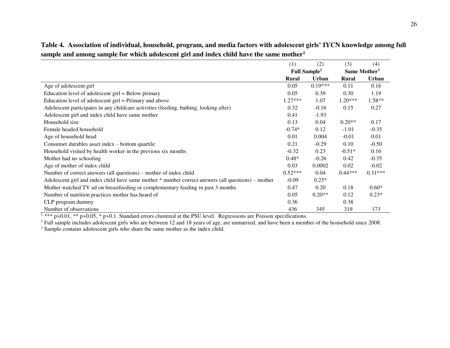|                                                                                                                         | (1)       | (2)                      | (3)       | (4)                      |
|-------------------------------------------------------------------------------------------------------------------------|-----------|--------------------------|-----------|--------------------------|
|                                                                                                                         |           | Full Sample <sup>2</sup> |           | Same Mother <sup>3</sup> |
|                                                                                                                         | Rural     | <b>Urban</b>             | Rural     | <b>Urban</b>             |
| Age of adolescent girl                                                                                                  | 0.05      | $0.19***$                | 0.11      | 0.16                     |
| Education level of adolescent girl = Below primary                                                                      | 0.05      | 0.39                     | 0.30      | 1.19                     |
| Education level of adolescent $girl = Primary$ and above                                                                | $1.27***$ | 1.07                     | $1.20***$ | 1.58**                   |
| Adolescent participates in any childcare activities (feeding, bathing, looking after)                                   | 0.32      | $-0.16$                  | 0.15      | 0.27                     |
| Adolescent girl and index child have same mother                                                                        | 0.41      | $-1.93$                  |           |                          |
| Household size                                                                                                          | 0.13      | 0.04                     | $0.20**$  | 0.17                     |
| Female headed household                                                                                                 | $-0.74*$  | 0.12                     | $-1.01$   | $-0.35$                  |
| Age of household head                                                                                                   | 0.01      | 0.004                    | $-0.01$   | 0.01                     |
| Consumer durables asset index – bottom quartile                                                                         | 0.21      | $-0.29$                  | 0.10      | $-0.50$                  |
| Household visited by health worker in the previous six months                                                           |           | 0.23                     | $-0.51*$  | 0.16                     |
| Mother had no schooling                                                                                                 | $0.48*$   | $-0.26$                  | 0.42      | $-0.35$                  |
| Age of mother of index child                                                                                            | 0.03      | 0.0002                   | 0.02      | $-0.02$                  |
| Number of correct answers (all questions) – mother of index child                                                       | $0.52***$ | 0.04                     | $0.44***$ | $0.31***$                |
| Adolescent girl and index child have same mother * number correct answers (all questions) – mother                      | $-0.09$   | $0.25*$                  |           |                          |
| Mother watched TV ad on breastfeeding or complementary feeding in past 3 months                                         | 0.47      | 0.20                     | 0.18      | $0.60*$                  |
| Number of nutrition practices mother has heard of                                                                       |           | $0.20**$                 | 0.12      | $0.23*$                  |
| CLP program dummy                                                                                                       |           |                          | 0.38      |                          |
| Number of observations                                                                                                  |           | 345                      | 319       | 173                      |
| $*$ *** p<0.01, ** p<0.05, * p<0.1. Standard errors clustered at the PSU level. Regressions are Poisson specifications. |           |                          |           |                          |

**Table 4. Association of individual, household, program, and media factors with adolescent girls' IYCN knowledge among full sample and among sample for which adolescent girl and index child have the same mother<sup>1</sup>**

 $2$  Full sample includes adolescent girls who are between 12 and 18 years of age, are unmarried, and have been a member of the household since 2008. <sup>3</sup> Sample contains adolescent girls who share the same mother as the index child.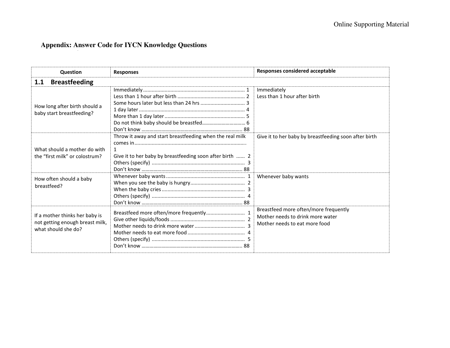# **Appendix: Answer Code for IYCN Knowledge Questions**

| <b>Question</b>                                                                          | <b>Responses</b>                                                                                                     | <b>Responses considered acceptable</b>                                                                     |  |  |  |  |  |
|------------------------------------------------------------------------------------------|----------------------------------------------------------------------------------------------------------------------|------------------------------------------------------------------------------------------------------------|--|--|--|--|--|
| <b>Breastfeeding</b><br>1.1                                                              |                                                                                                                      |                                                                                                            |  |  |  |  |  |
| How long after birth should a<br>baby start breastfeeding?                               | Some hours later but less than 24 hrs  3                                                                             | Immediately<br>Less than 1 hour after birth                                                                |  |  |  |  |  |
| What should a mother do with<br>the "first milk" or colostrum?                           | Throw it away and start breastfeeding when the real milk<br>Give it to her baby by breastfeeding soon after birth  2 | Give it to her baby by breastfeeding soon after birth                                                      |  |  |  |  |  |
| How often should a baby<br>breastfeed?                                                   |                                                                                                                      | Whenever baby wants                                                                                        |  |  |  |  |  |
| If a mother thinks her baby is<br>not getting enough breast milk,<br>what should she do? |                                                                                                                      | Breastfeed more often/more frequently<br>Mother needs to drink more water<br>Mother needs to eat more food |  |  |  |  |  |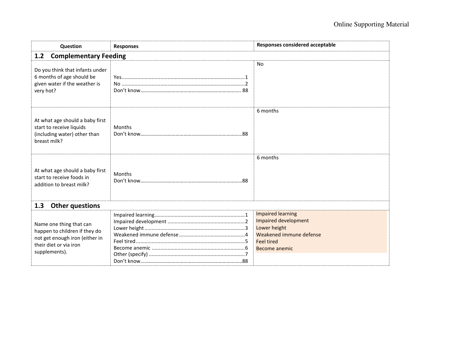| Question                                                                                                                              | <b>Responses</b>              | Responses considered acceptable                                                                                                          |  |  |  |  |  |
|---------------------------------------------------------------------------------------------------------------------------------------|-------------------------------|------------------------------------------------------------------------------------------------------------------------------------------|--|--|--|--|--|
| <b>Complementary Feeding</b><br>1.2                                                                                                   |                               |                                                                                                                                          |  |  |  |  |  |
| Do you think that infants under<br>6 months of age should be<br>given water if the weather is<br>very hot?                            |                               | <b>No</b>                                                                                                                                |  |  |  |  |  |
| At what age should a baby first<br>start to receive liquids<br>(including water) other than<br>breast milk?                           | Months                        | 6 months                                                                                                                                 |  |  |  |  |  |
| At what age should a baby first<br>start to receive foods in<br>addition to breast milk?                                              | Months                        | 6 months                                                                                                                                 |  |  |  |  |  |
|                                                                                                                                       | 1.3<br><b>Other questions</b> |                                                                                                                                          |  |  |  |  |  |
| Name one thing that can<br>happen to children if they do<br>not get enough iron (either in<br>their diet or via iron<br>supplements). |                               | <b>Impaired learning</b><br>Impaired development<br>Lower height<br>Weakened immune defense<br><b>Feel tired</b><br><b>Become anemic</b> |  |  |  |  |  |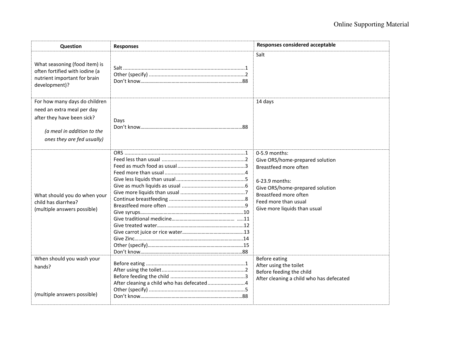| Question                                                                                                                                              | <b>Responses</b> | <b>Responses considered acceptable</b>                                                                                                                                                                          |
|-------------------------------------------------------------------------------------------------------------------------------------------------------|------------------|-----------------------------------------------------------------------------------------------------------------------------------------------------------------------------------------------------------------|
| What seasoning (food item) is<br>often fortified with iodine (a<br>nutrient important for brain<br>development)?                                      |                  | Salt                                                                                                                                                                                                            |
| For how many days do children<br>need an extra meal per day<br>after they have been sick?<br>(a meal in addition to the<br>ones they are fed usually) | Days             | 14 days                                                                                                                                                                                                         |
| What should you do when your<br>child has diarrhea?<br>(multiple answers possible)                                                                    |                  | 0-5.9 months:<br>Give ORS/home-prepared solution<br>Breastfeed more often<br>6-23.9 months:<br>Give ORS/home-prepared solution<br>Breastfeed more often<br>Feed more than usual<br>Give more liquids than usual |
| When should you wash your<br>hands?<br>(multiple answers possible)                                                                                    |                  | Before eating<br>After using the toilet<br>Before feeding the child<br>After cleaning a child who has defecated                                                                                                 |